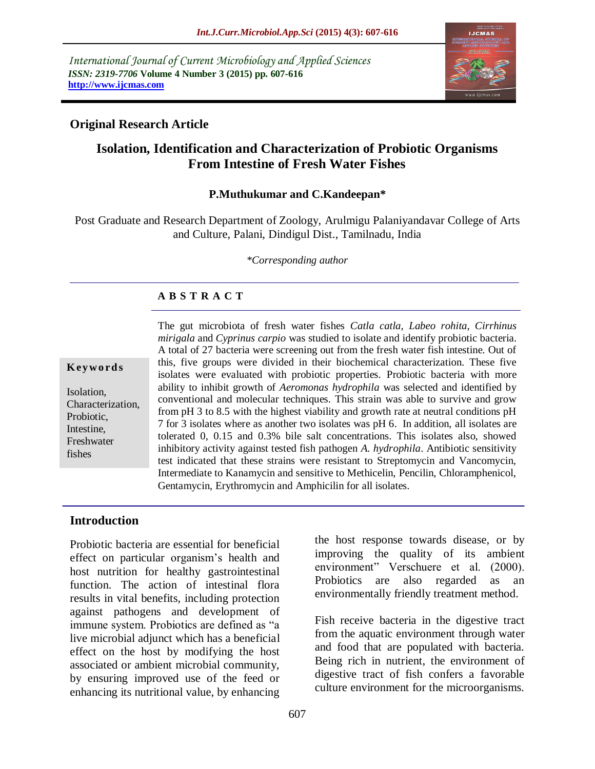*International Journal of Current Microbiology and Applied Sciences ISSN: 2319-7706* **Volume 4 Number 3 (2015) pp. 607-616 http://www.ijcmas.com** 



# **Original Research Article**

# **Isolation, Identification and Characterization of Probiotic Organisms From Intestine of Fresh Water Fishes**

#### **P.Muthukumar and C.Kandeepan\***

Post Graduate and Research Department of Zoology, Arulmigu Palaniyandavar College of Arts and Culture, Palani, Dindigul Dist., Tamilnadu, India

*\*Corresponding author*

## **A B S T R A C T**

#### **K ey w o rd s**

Isolation, Characterization, Probiotic, Intestine, Freshwater fishes

The gut microbiota of fresh water fishes *Catla catla, Labeo rohita, Cirrhinus mirigala* and *Cyprinus carpio* was studied to isolate and identify probiotic bacteria. A total of 27 bacteria were screening out from the fresh water fish intestine. Out of this, five groups were divided in their biochemical characterization. These five isolates were evaluated with probiotic properties. Probiotic bacteria with more ability to inhibit growth of *Aeromonas hydrophila* was selected and identified by conventional and molecular techniques. This strain was able to survive and grow from pH 3 to 8.5 with the highest viability and growth rate at neutral conditions pH 7 for 3 isolates where as another two isolates was pH 6. In addition, all isolates are tolerated 0, 0.15 and 0.3% bile salt concentrations. This isolates also, showed inhibitory activity against tested fish pathogen *A. hydrophila*. Antibiotic sensitivity test indicated that these strains were resistant to Streptomycin and Vancomycin, Intermediate to Kanamycin and sensitive to Methicelin, Pencilin, Chloramphenicol, Gentamycin, Erythromycin and Amphicilin for all isolates.

#### **Introduction**

Probiotic bacteria are essential for beneficial effect on particular organism's health and host nutrition for healthy gastrointestinal function. The action of intestinal flora results in vital benefits, including protection against pathogens and development of immune system. Probiotics are defined as "a live microbial adjunct which has a beneficial effect on the host by modifying the host associated or ambient microbial community, by ensuring improved use of the feed or enhancing its nutritional value, by enhancing

the host response towards disease, or by improving the quality of its ambient environment" Verschuere et al. (2000). Probiotics are also regarded as an environmentally friendly treatment method.

Fish receive bacteria in the digestive tract from the aquatic environment through water and food that are populated with bacteria. Being rich in nutrient, the environment of digestive tract of fish confers a favorable culture environment for the microorganisms.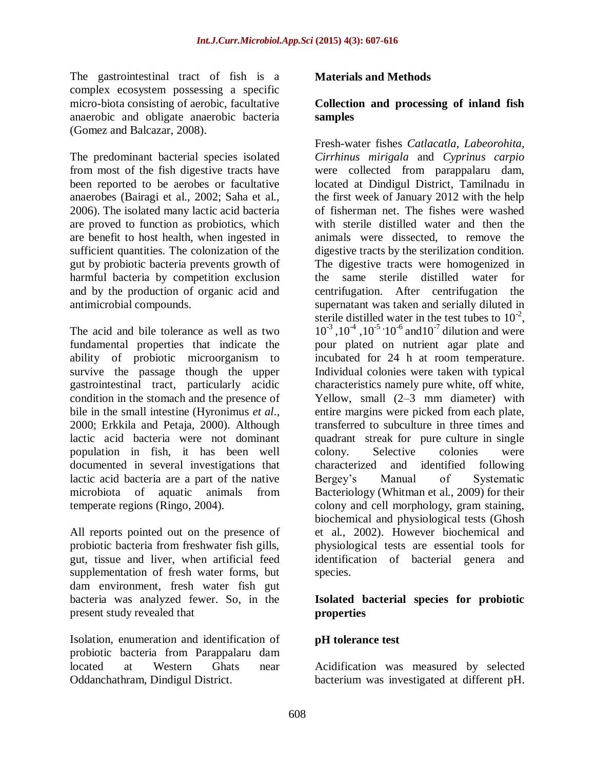The gastrointestinal tract of fish is a complex ecosystem possessing a specific micro-biota consisting of aerobic, facultative anaerobic and obligate anaerobic bacteria (Gomez and Balcazar, 2008).

The predominant bacterial species isolated from most of the fish digestive tracts have been reported to be aerobes or facultative anaerobes (Bairagi et al., 2002; Saha et al., 2006). The isolated many lactic acid bacteria are proved to function as probiotics, which are benefit to host health, when ingested in sufficient quantities. The colonization of the gut by probiotic bacteria prevents growth of harmful bacteria by competition exclusion and by the production of organic acid and antimicrobial compounds.

The acid and bile tolerance as well as two fundamental properties that indicate the ability of probiotic microorganism to survive the passage though the upper gastrointestinal tract, particularly acidic condition in the stomach and the presence of bile in the small intestine (Hyronimus *et al*., 2000; Erkkila and Petaja, 2000). Although lactic acid bacteria were not dominant population in fish, it has been well documented in several investigations that lactic acid bacteria are a part of the native microbiota of aquatic animals from temperate regions (Ringo, 2004).

All reports pointed out on the presence of probiotic bacteria from freshwater fish gills, gut, tissue and liver, when artificial feed supplementation of fresh water forms, but dam environment, fresh water fish gut bacteria was analyzed fewer. So, in the present study revealed that

Isolation, enumeration and identification of probiotic bacteria from Parappalaru dam located at Western Ghats near Oddanchathram, Dindigul District.

#### **Materials and Methods**

#### **Collection and processing of inland fish samples**

Fresh-water fishes *Catlacatla, Labeorohita, Cirrhinus mirigala* and *Cyprinus carpio* were collected from parappalaru dam, located at Dindigul District, Tamilnadu in the first week of January 2012 with the help of fisherman net. The fishes were washed with sterile distilled water and then the animals were dissected, to remove the digestive tracts by the sterilization condition. The digestive tracts were homogenized in the same sterile distilled water for centrifugation. After centrifugation the supernatant was taken and serially diluted in sterile distilled water in the test tubes to  $10^{-2}$ ,  $10^{-3}$ ,  $10^{-4}$ ,  $10^{-5}$ ,  $10^{-6}$  and  $10^{-7}$  dilution and were pour plated on nutrient agar plate and incubated for 24 h at room temperature. Individual colonies were taken with typical characteristics namely pure white, off white, Yellow, small (2–3 mm diameter) with entire margins were picked from each plate, transferred to subculture in three times and quadrant streak for pure culture in single colony. Selective colonies were characterized and identified following Bergey's Manual of Systematic Bacteriology (Whitman et al., 2009) for their colony and cell morphology, gram staining, biochemical and physiological tests (Ghosh et al., 2002). However biochemical and physiological tests are essential tools for identification of bacterial genera and species.

#### **Isolated bacterial species for probiotic properties**

#### **pH tolerance test**

Acidification was measured by selected bacterium was investigated at different pH.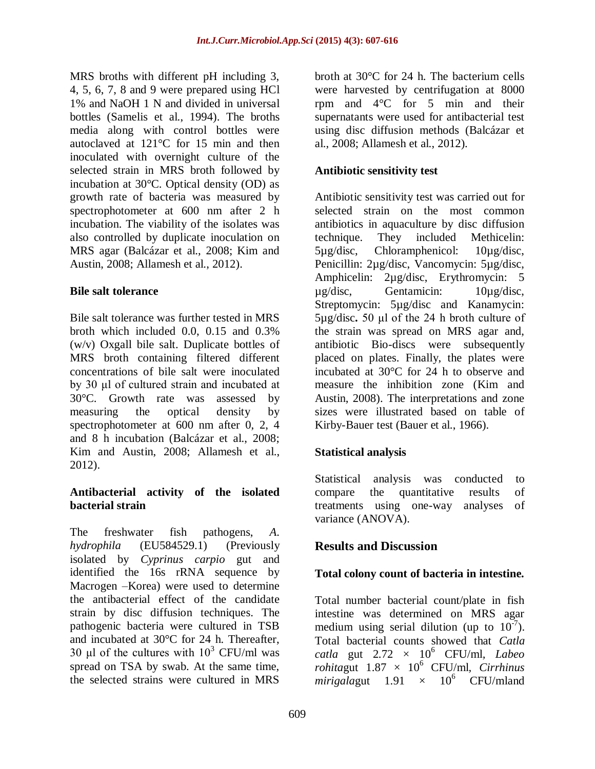MRS broths with different pH including 3, 4, 5, 6, 7, 8 and 9 were prepared using HCl 1% and NaOH 1 N and divided in universal bottles (Samelis et al., 1994). The broths media along with control bottles were autoclaved at 121°C for 15 min and then inoculated with overnight culture of the selected strain in MRS broth followed by incubation at 30°C. Optical density (OD) as growth rate of bacteria was measured by spectrophotometer at 600 nm after 2 h incubation. The viability of the isolates was also controlled by duplicate inoculation on MRS agar (Balcázar et al., 2008; Kim and Austin, 2008; Allamesh et al., 2012).

## **Bile salt tolerance**

Bile salt tolerance was further tested in MRS broth which included 0.0, 0.15 and 0.3% (w/v) Oxgall bile salt. Duplicate bottles of MRS broth containing filtered different concentrations of bile salt were inoculated by 30 μl of cultured strain and incubated at 30°C. Growth rate was assessed by measuring the optical density by spectrophotometer at 600 nm after 0, 2, 4 and 8 h incubation (Balcázar et al., 2008; Kim and Austin, 2008; Allamesh et al., 2012).

## **Antibacterial activity of the isolated bacterial strain**

The freshwater fish pathogens, *A. hydrophila* (EU584529.1) (Previously isolated by *Cyprinus carpio* gut and identified the 16s rRNA sequence by Macrogen –Korea) were used to determine the antibacterial effect of the candidate strain by disc diffusion techniques. The pathogenic bacteria were cultured in TSB and incubated at 30°C for 24 h. Thereafter, 30 μl of the cultures with  $10^3$  CFU/ml was spread on TSA by swab. At the same time, the selected strains were cultured in MRS

broth at 30°C for 24 h. The bacterium cells were harvested by centrifugation at 8000 rpm and 4°C for 5 min and their supernatants were used for antibacterial test using disc diffusion methods (Balcázar et al., 2008; Allamesh et al., 2012).

# **Antibiotic sensitivity test**

Antibiotic sensitivity test was carried out for selected strain on the most common antibiotics in aquaculture by disc diffusion technique. They included Methicelin: 5µg/disc, Chloramphenicol: 10µg/disc, Penicillin: 2µg/disc, Vancomycin: 5µg/disc, Amphicelin: 2µg/disc, Erythromycin: 5 µg/disc, Gentamicin: 10µg/disc, Streptomycin: 5µg/disc and Kanamycin: 5µg/disc**.** 50 μl of the 24 h broth culture of the strain was spread on MRS agar and, antibiotic Bio-discs were subsequently placed on plates. Finally, the plates were incubated at 30°C for 24 h to observe and measure the inhibition zone (Kim and Austin, 2008). The interpretations and zone sizes were illustrated based on table of Kirby-Bauer test (Bauer et al., 1966).

# **Statistical analysis**

Statistical analysis was conducted to compare the quantitative results of treatments using one-way analyses of variance (ANOVA).

# **Results and Discussion**

# **Total colony count of bacteria in intestine.**

Total number bacterial count/plate in fish intestine was determined on MRS agar medium using serial dilution (up to  $10^{-7}$ ). Total bacterial counts showed that *Catla catla* gut  $2.72 \times 10^6$  CFU/ml, *Labeo*  $rohitagut$  1.87  $\times$  10<sup>6</sup> CFU/ml, *Cirrhinus mirigalagut* 1.91  $\times$  10<sup>6</sup> CFU/mland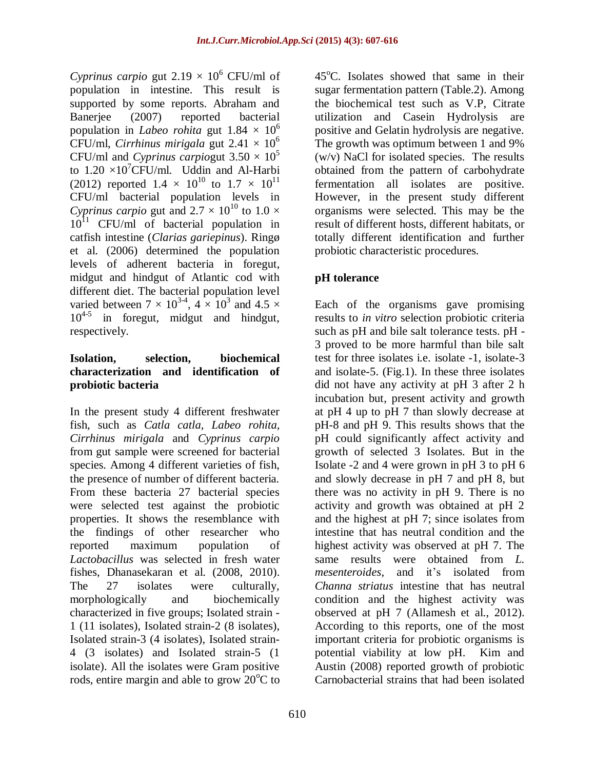*Cyprinus carpio* gut  $2.19 \times 10^6$  CFU/ml of population in intestine. This result is supported by some reports. Abraham and Banerjee (2007) reported bacterial population in *Labeo rohita* gut  $1.84 \times 10^6$ CFU/ml, *Cirrhinus mirigala* gut  $2.41 \times 10^6$ CFU/ml and *Cyprinus carpiogut*  $3.50 \times 10^5$ to  $1.20 \times 10^{7}$ CFU/ml. Uddin and Al-Harbi (2012) reported  $1.4 \times 10^{10}$  to  $1.7 \times 10^{11}$ CFU/ml bacterial population levels in *Cyprinus carpio* gut and  $2.7 \times 10^{10}$  to  $1.0 \times$  $10^{11}$  CFU/ml of bacterial population in catfish intestine (*Clarias gariepinus*). Ringø et al. (2006) determined the population levels of adherent bacteria in foregut, midgut and hindgut of Atlantic cod with different diet. The bacterial population level varied between  $7 \times 10^{3.4}$ ,  $4 \times 10^3$  and  $4.5 \times$ 104-5 in foregut, midgut and hindgut, respectively.

#### **Isolation, selection, biochemical characterization and identification of probiotic bacteria**

In the present study 4 different freshwater fish, such as *Catla catla, Labeo rohita, Cirrhinus mirigala* and *Cyprinus carpio* from gut sample were screened for bacterial species. Among 4 different varieties of fish, the presence of number of different bacteria. From these bacteria 27 bacterial species were selected test against the probiotic properties. It shows the resemblance with the findings of other researcher who reported maximum population of *Lactobacillus* was selected in fresh water fishes, Dhanasekaran et al. (2008, 2010). The 27 isolates were culturally, morphologically and biochemically characterized in five groups; Isolated strain - 1 (11 isolates), Isolated strain-2 (8 isolates), Isolated strain-3 (4 isolates), Isolated strain-4 (3 isolates) and Isolated strain-5 (1 isolate). All the isolates were Gram positive rods, entire margin and able to grow  $20^{\circ}$ C to

 $45^{\circ}$ C. Isolates showed that same in their sugar fermentation pattern (Table.2). Among the biochemical test such as V.P, Citrate utilization and Casein Hydrolysis are positive and Gelatin hydrolysis are negative. The growth was optimum between 1 and 9% (w/v) NaCl for isolated species. The results obtained from the pattern of carbohydrate fermentation all isolates are positive. However, in the present study different organisms were selected. This may be the result of different hosts, different habitats, or totally different identification and further probiotic characteristic procedures.

# **pH tolerance**

Each of the organisms gave promising results to *in vitro* selection probiotic criteria such as pH and bile salt tolerance tests. pH - 3 proved to be more harmful than bile salt test for three isolates i.e. isolate -1, isolate-3 and isolate-5. (Fig.1). In these three isolates did not have any activity at pH 3 after 2 h incubation but, present activity and growth at pH 4 up to pH 7 than slowly decrease at pH-8 and pH 9. This results shows that the pH could significantly affect activity and growth of selected 3 Isolates. But in the Isolate -2 and 4 were grown in pH 3 to pH 6 and slowly decrease in pH 7 and pH 8, but there was no activity in pH 9. There is no activity and growth was obtained at pH 2 and the highest at pH 7; since isolates from intestine that has neutral condition and the highest activity was observed at pH 7. The same results were obtained from *L. mesenteroides*, and it's isolated from *Channa striatus* intestine that has neutral condition and the highest activity was observed at pH 7 (Allamesh et al., 2012). According to this reports, one of the most important criteria for probiotic organisms is potential viability at low pH. Kim and Austin (2008) reported growth of probiotic Carnobacterial strains that had been isolated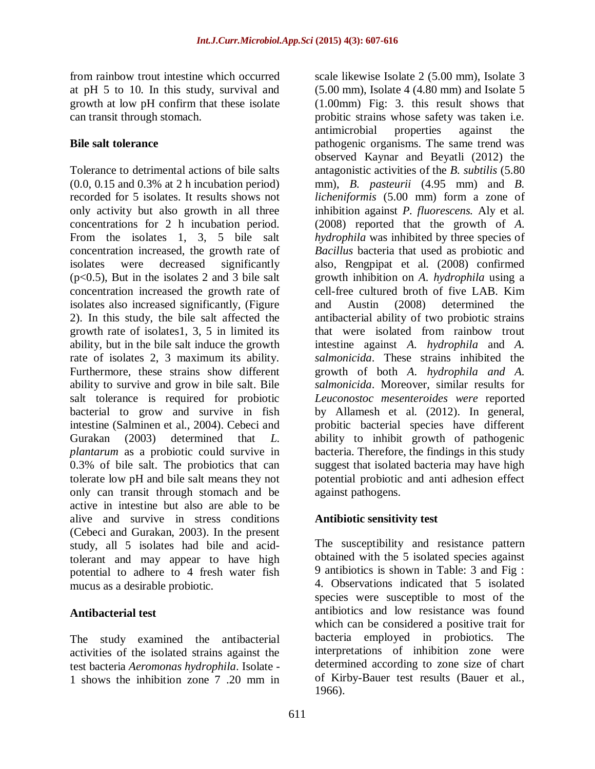from rainbow trout intestine which occurred at pH 5 to 10. In this study, survival and growth at low pH confirm that these isolate can transit through stomach.

### **Bile salt tolerance**

Tolerance to detrimental actions of bile salts (0.0, 0.15 and 0.3% at 2 h incubation period) recorded for 5 isolates. It results shows not only activity but also growth in all three concentrations for 2 h incubation period. From the isolates 1, 3, 5 bile salt concentration increased, the growth rate of isolates were decreased significantly (p<0.5), But in the isolates 2 and 3 bile salt concentration increased the growth rate of isolates also increased significantly, (Figure 2). In this study, the bile salt affected the growth rate of isolates1, 3, 5 in limited its ability, but in the bile salt induce the growth rate of isolates 2, 3 maximum its ability. Furthermore, these strains show different ability to survive and grow in bile salt. Bile salt tolerance is required for probiotic bacterial to grow and survive in fish intestine (Salminen et al., 2004). Cebeci and Gurakan (2003) determined that *L. plantarum* as a probiotic could survive in 0.3% of bile salt. The probiotics that can tolerate low pH and bile salt means they not only can transit through stomach and be active in intestine but also are able to be alive and survive in stress conditions (Cebeci and Gurakan, 2003). In the present study, all 5 isolates had bile and acidtolerant and may appear to have high potential to adhere to 4 fresh water fish mucus as a desirable probiotic.

# **Antibacterial test**

The study examined the antibacterial activities of the isolated strains against the test bacteria *Aeromonas hydrophila*. Isolate - 1 shows the inhibition zone 7 .20 mm in

scale likewise Isolate 2 (5.00 mm), Isolate 3  $(5.00 \text{ mm})$ , Isolate 4  $(4.80 \text{ mm})$  and Isolate 5 (1.00mm) Fig: 3. this result shows that probitic strains whose safety was taken i.e. antimicrobial properties against the pathogenic organisms. The same trend was observed Kaynar and Beyatli (2012) the antagonistic activities of the *B. subtilis* (5.80 mm), *B. pasteurii* (4.95 mm) and *B. licheniformis* (5.00 mm) form a zone of inhibition against *P. fluorescens.* Aly et al. (2008) reported that the growth of *A. hydrophila* was inhibited by three species of *Bacillus* bacteria that used as probiotic and also, Rengpipat et al. (2008) confirmed growth inhibition on *A. hydrophila* using a cell-free cultured broth of five LAB. Kim and Austin (2008) determined the antibacterial ability of two probiotic strains that were isolated from rainbow trout intestine against *A. hydrophila* and *A. salmonicida*. These strains inhibited the growth of both *A. hydrophila and A. salmonicida*. Moreover, similar results for *Leuconostoc mesenteroides were* reported by Allamesh et al. (2012). In general, probitic bacterial species have different ability to inhibit growth of pathogenic bacteria. Therefore, the findings in this study suggest that isolated bacteria may have high potential probiotic and anti adhesion effect against pathogens.

# **Antibiotic sensitivity test**

The susceptibility and resistance pattern obtained with the 5 isolated species against 9 antibiotics is shown in Table: 3 and Fig : 4. Observations indicated that 5 isolated species were susceptible to most of the antibiotics and low resistance was found which can be considered a positive trait for bacteria employed in probiotics. The interpretations of inhibition zone were determined according to zone size of chart of Kirby-Bauer test results (Bauer et al., 1966).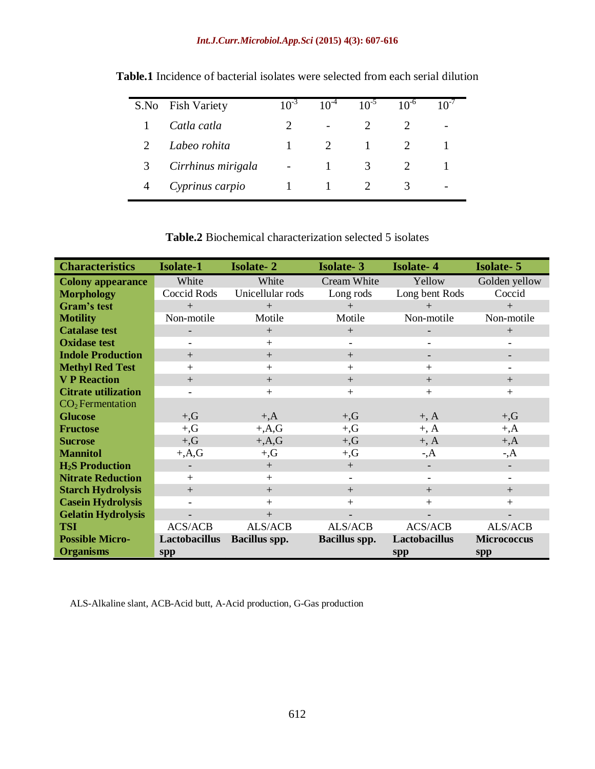#### *Int.J.Curr.Microbiol.App.Sci* **(2015) 4(3): 607-616**

| S.No | <b>Fish Variety</b> | $10^{-3}$ | $10^{-4}$                | $10^{-5}$ | $10^{-6}$ |  |
|------|---------------------|-----------|--------------------------|-----------|-----------|--|
|      | Catla catla         |           | $\overline{\phantom{0}}$ |           |           |  |
|      | Labeo rohita        |           |                          |           |           |  |
| 3    | Cirrhinus mirigala  |           |                          | 3         |           |  |
|      | Cyprinus carpio     |           |                          |           | 3         |  |

**Table.1** Incidence of bacterial isolates were selected from each serial dilution

# **Table.2** Biochemical characterization selected 5 isolates

| <b>Characteristics</b>           | <b>Isolate-1</b> | <b>Isolate-2</b>     | <b>Isolate-3</b>     | <b>Isolate-4</b>         | <b>Isolate-5</b>         |
|----------------------------------|------------------|----------------------|----------------------|--------------------------|--------------------------|
| <b>Colony appearance</b>         | White            | White                | Cream White          | Yellow                   | Golden yellow            |
| <b>Morphology</b>                | Coccid Rods      | Unicellular rods     | Long rods            | Long bent Rods           | Coccid                   |
| Gram's test                      | $+$              | $+$                  | $+$                  | $+$                      | $+$                      |
| <b>Motility</b>                  | Non-motile       | Motile               | Motile               | Non-motile               | Non-motile               |
| <b>Catalase test</b>             |                  | $+$                  | $+$                  |                          | $+$                      |
| <b>Oxidase test</b>              |                  | $+$                  |                      | ۳                        |                          |
| <b>Indole Production</b>         | $+$              | $+$                  | $+$                  | $\overline{\phantom{0}}$ |                          |
| <b>Methyl Red Test</b>           | $+$              | $+$                  | $^{+}$               | $+$                      |                          |
| <b>V P Reaction</b>              | $+$              | $+$                  | $+$                  | $+$                      | $+$                      |
| <b>Citrate utilization</b>       |                  | $+$                  | $+$                  | $+$                      | $+$                      |
| $CO2$ Fermentation               |                  |                      |                      |                          |                          |
| <b>Glucose</b>                   | $+, G$           | $+, A$               | $+, G$               | $+, A$                   | $+, G$                   |
| <b>Fructose</b>                  | $+, G$           | $+A,G$               | $+, G$               | $+, A$                   | $+, A$                   |
| <b>Sucrose</b>                   | $+, G$           | $+, A, G$            | $+, G$               | $+, A$                   | $+, A$                   |
| <b>Mannitol</b>                  | $+A,G$           | $+, G$               | $+, G$               | $\mathcal{A}$            | $\mathcal{A}$            |
| <b>H<sub>2</sub>S</b> Production |                  | $+$                  | $+$                  | $\overline{\phantom{0}}$ |                          |
| <b>Nitrate Reduction</b>         | $+$              | $+$                  | $\qquad \qquad -$    | $\overline{\phantom{a}}$ | $\overline{\phantom{a}}$ |
| <b>Starch Hydrolysis</b>         | $+$              | $+$                  | $+$                  | $+$                      | $+$                      |
| <b>Casein Hydrolysis</b>         |                  | $+$                  | $^{+}$               | $+$                      | $+$                      |
| <b>Gelatin Hydrolysis</b>        |                  | $+$                  |                      |                          |                          |
| <b>TSI</b>                       | <b>ACS/ACB</b>   | ALS/ACB              | ALS/ACB              | <b>ACS/ACB</b>           | ALS/ACB                  |
| <b>Possible Micro-</b>           | Lactobacillus    | <b>Bacillus spp.</b> | <b>Bacillus spp.</b> | Lactobacillus            | <b>Micrococcus</b>       |
| <b>Organisms</b>                 | spp              |                      |                      | spp                      | spp                      |

ALS-Alkaline slant, ACB-Acid butt, A-Acid production, G-Gas production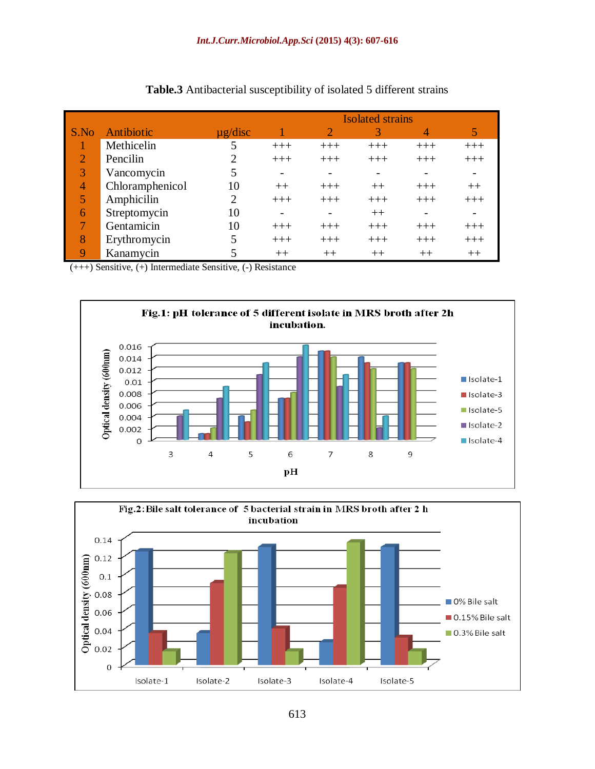|                |                 |              | <b>Isolated strains</b>  |       |         |         |                          |
|----------------|-----------------|--------------|--------------------------|-------|---------|---------|--------------------------|
| S.No           | Antibiotic      | $\mu$ g/disc |                          |       | 3       | 4       | 5                        |
|                | Methicelin      |              | $+++$                    | $+++$ | $+++$   | $+++$   | $+++$                    |
| $\overline{2}$ | Pencilin        |              | $+++$                    | $+++$ | $+++$   | $+++$   | $+++$                    |
| 3              | Vancomycin      |              | $\overline{\phantom{a}}$ |       |         |         | $\overline{\phantom{a}}$ |
| 4              | Chloramphenicol | 10           | $++$                     | $+++$ | $^{++}$ | $+++$   | $^{++}$                  |
| 5              | Amphicilin      | ∍            | $+++$                    | $+++$ | $+++$   | $+++$   | $+++$                    |
| 6              | Streptomycin    | 10           |                          |       | $^{++}$ |         | $\overline{\phantom{a}}$ |
|                | Gentamicin      | 10           | $+++$                    | $+++$ | $+++$   | $+++$   | $+++$                    |
| 8              | Erythromycin    |              | $+++$                    | $+++$ | $+++$   | $+++$   | $+++$                    |
| 9              | Kanamycin       |              | $++$                     | $++$  | $^{++}$ | $^{++}$ | $++$                     |

#### **Table.3** Antibacterial susceptibility of isolated 5 different strains

(+++) Sensitive, (+) Intermediate Sensitive, (-) Resistance



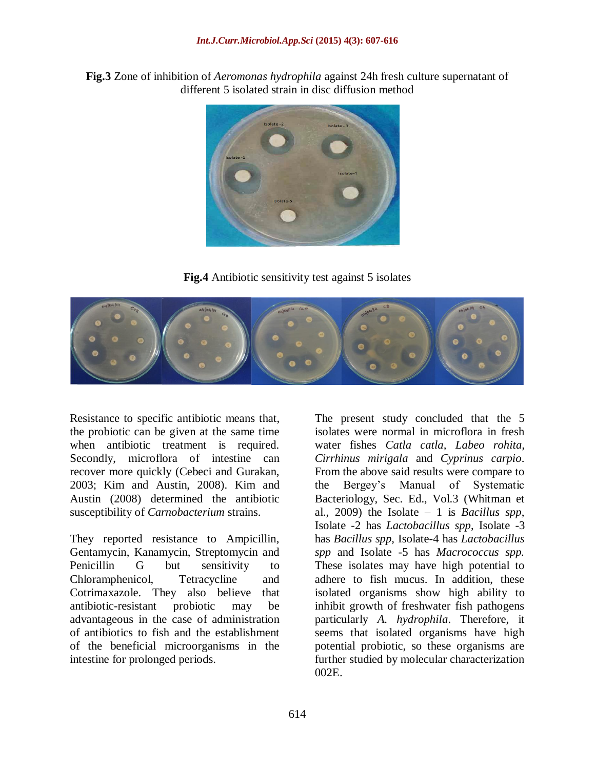**Fig.3** Zone of inhibition of *Aeromonas hydrophila* against 24h fresh culture supernatant of different 5 isolated strain in disc diffusion method



**Fig.4** Antibiotic sensitivity test against 5 isolates



Resistance to specific antibiotic means that, the probiotic can be given at the same time when antibiotic treatment is required. Secondly, microflora of intestine can recover more quickly (Cebeci and Gurakan, 2003; Kim and Austin, 2008). Kim and Austin (2008) determined the antibiotic susceptibility of *Carnobacterium* strains.

They reported resistance to Ampicillin, Gentamycin, Kanamycin, Streptomycin and Penicillin G but sensitivity to Chloramphenicol, Tetracycline and Cotrimaxazole. They also believe that antibiotic-resistant probiotic may be advantageous in the case of administration of antibiotics to fish and the establishment of the beneficial microorganisms in the intestine for prolonged periods.

The present study concluded that the 5 isolates were normal in microflora in fresh water fishes *Catla catla, Labeo rohita, Cirrhinus mirigala* and *Cyprinus carpio*. From the above said results were compare to the Bergey's Manual of Systematic Bacteriology, Sec. Ed., Vol.3 (Whitman et al., 2009) the Isolate – 1 is *Bacillus spp*, Isolate -2 has *Lactobacillus spp*, Isolate -3 has *Bacillus spp,* Isolate-4 has *Lactobacillus spp* and Isolate -5 has *Macrococcus spp.*  These isolates may have high potential to adhere to fish mucus. In addition, these isolated organisms show high ability to inhibit growth of freshwater fish pathogens particularly *A. hydrophila*. Therefore, it seems that isolated organisms have high potential probiotic, so these organisms are further studied by molecular characterization 002E.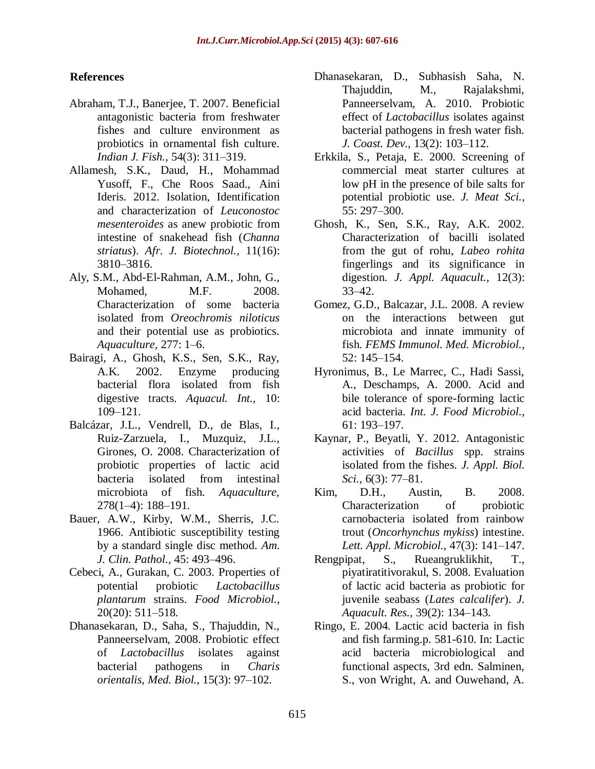# **References**

- Abraham, T.J., Banerjee, T. 2007. Beneficial antagonistic bacteria from freshwater fishes and culture environment as probiotics in ornamental fish culture. *Indian J. Fish.,* 54(3): 311–319.
- Allamesh, S.K., Daud, H., Mohammad Yusoff, F., Che Roos Saad., Aini Ideris. 2012. Isolation, Identification and characterization of *Leuconostoc mesenteroides* as anew probiotic from intestine of snakehead fish (*Channa striatus*). *Afr. J. Biotechnol.,* 11(16): 3810–3816.
- Aly, S.M., Abd-El-Rahman, A.M., John, G., Mohamed, M.F. 2008. Characterization of some bacteria isolated from *Oreochromis niloticus*  and their potential use as probiotics. *Aquaculture,* 277: 1–6.
- Bairagi, A., Ghosh, K.S., Sen, S.K., Ray, A.K. 2002. Enzyme producing bacterial flora isolated from fish digestive tracts. *Aquacul. Int.,* 10: 109–121.
- Balcázar, J.L., Vendrell, D., de Blas, I., Ruiz-Zarzuela, I., Muzquiz, J.L., Girones, O. 2008. Characterization of probiotic properties of lactic acid bacteria isolated from intestinal microbiota of fish. *Aquaculture,*  278(1–4): 188–191.
- Bauer, A.W., Kirby, W.M., Sherris, J.C. 1966. Antibiotic susceptibility testing by a standard single disc method. *Am. J. Clin. Pathol.,* 45: 493–496.
- Cebeci, A., Gurakan, C. 2003. Properties of potential probiotic *Lactobacillus plantarum* strains. *Food Microbiol.,* 20(20): 511–518.
- Dhanasekaran, D., Saha, S., Thajuddin, N., Panneerselvam, 2008. Probiotic effect of *Lactobacillus* isolates against bacterial pathogens in *Charis orientalis*, *Med. Biol.,* 15(3): 97–102.
- Dhanasekaran, D., Subhasish Saha, N. Thajuddin, M., Rajalakshmi, Panneerselvam, A. 2010. Probiotic effect of *Lactobacillus* isolates against bacterial pathogens in fresh water fish. *J. Coast. Dev.,* 13(2): 103–112.
- Erkkila, S., Petaja, E. 2000. Screening of commercial meat starter cultures at low pH in the presence of bile salts for potential probiotic use. *J. Meat Sci.,*  55: 297–300.
- Ghosh, K., Sen, S.K., Ray, A.K. 2002. Characterization of bacilli isolated from the gut of rohu, *Labeo rohita* fingerlings and its significance in digestion. *J. Appl. Aquacult.,* 12(3): 33–42.
- Gomez, G.D., Balcazar, J.L. 2008. A review on the interactions between gut microbiota and innate immunity of fish. *FEMS Immunol. Med. Microbiol.,* 52: 145–154.
- Hyronimus, B., Le Marrec, C., Hadi Sassi, A., Deschamps, A. 2000. Acid and bile tolerance of spore-forming lactic acid bacteria. *Int. J. Food Microbiol.,*  61: 193–197.
- Kaynar, P., Beyatli, Y. 2012. Antagonistic activities of *Bacillus* spp. strains isolated from the fishes. *J. Appl. Biol. Sci.,* 6(3): 77–81.
- Kim, D.H., Austin, B. 2008. Characterization of probiotic carnobacteria isolated from rainbow trout (*Oncorhynchus mykiss*) intestine. *Lett. Appl. Microbiol.,* 47(3): 141–147.
- Rengpipat, S., Rueangruklikhit, T., piyatiratitivorakul, S. 2008. Evaluation of lactic acid bacteria as probiotic for juvenile seabass (*Lates calcalifer*). *J. Aquacult. Res.,* 39(2): 134–143.
- Ringo, E. 2004. Lactic acid bacteria in fish and fish farming.p. 581-610. In: Lactic acid bacteria microbiological and functional aspects, 3rd edn. Salminen, S., von Wright, A. and Ouwehand, A.